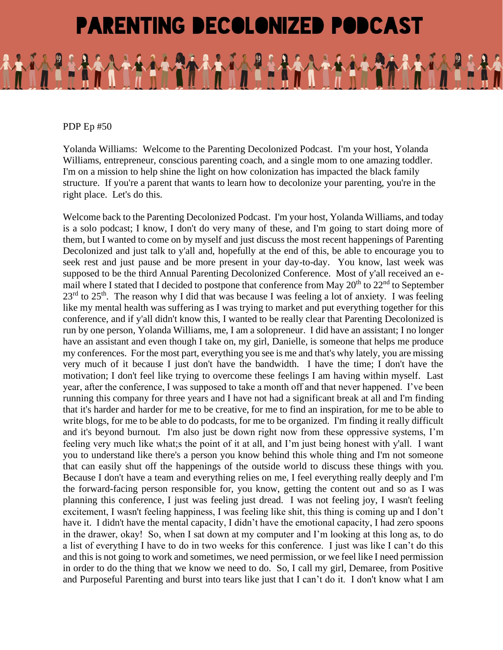## **PARENTING DECOLONIZED PODCAST**

PDP Ep #50

Yolanda Williams: Welcome to the Parenting Decolonized Podcast. I'm your host, Yolanda Williams, entrepreneur, conscious parenting coach, and a single mom to one amazing toddler. I'm on a mission to help shine the light on how colonization has impacted the black family structure. If you're a parent that wants to learn how to decolonize your parenting, you're in the right place. Let's do this.

Welcome back to the Parenting Decolonized Podcast. I'm your host, Yolanda Williams, and today is a solo podcast; I know, I don't do very many of these, and I'm going to start doing more of them, but I wanted to come on by myself and just discuss the most recent happenings of Parenting Decolonized and just talk to y'all and, hopefully at the end of this, be able to encourage you to seek rest and just pause and be more present in your day-to-day. You know, last week was supposed to be the third Annual Parenting Decolonized Conference. Most of y'all received an email where I stated that I decided to postpone that conference from May  $20<sup>th</sup>$  to  $22<sup>nd</sup>$  to September  $23<sup>rd</sup>$  to  $25<sup>th</sup>$ . The reason why I did that was because I was feeling a lot of anxiety. I was feeling like my mental health was suffering as I was trying to market and put everything together for this conference, and if y'all didn't know this, I wanted to be really clear that Parenting Decolonized is run by one person, Yolanda Williams, me, I am a solopreneur. I did have an assistant; I no longer have an assistant and even though I take on, my girl, Danielle, is someone that helps me produce my conferences. For the most part, everything you see is me and that's why lately, you are missing very much of it because I just don't have the bandwidth. I have the time; I don't have the motivation; I don't feel like trying to overcome these feelings I am having within myself. Last year, after the conference, I was supposed to take a month off and that never happened. I've been running this company for three years and I have not had a significant break at all and I'm finding that it's harder and harder for me to be creative, for me to find an inspiration, for me to be able to write blogs, for me to be able to do podcasts, for me to be organized. I'm finding it really difficult and it's beyond burnout. I'm also just be down right now from these oppressive systems, I'm feeling very much like what;s the point of it at all, and I'm just being honest with y'all. I want you to understand like there's a person you know behind this whole thing and I'm not someone that can easily shut off the happenings of the outside world to discuss these things with you. Because I don't have a team and everything relies on me, I feel everything really deeply and I'm the forward-facing person responsible for, you know, getting the content out and so as I was planning this conference, I just was feeling just dread. I was not feeling joy, I wasn't feeling excitement, I wasn't feeling happiness, I was feeling like shit, this thing is coming up and I don't have it. I didn't have the mental capacity, I didn't have the emotional capacity, I had zero spoons in the drawer, okay! So, when I sat down at my computer and I'm looking at this long as, to do a list of everything I have to do in two weeks for this conference. I just was like I can't do this and this is not going to work and sometimes, we need permission, or we feel like I need permission in order to do the thing that we know we need to do. So, I call my girl, Demaree, from Positive and Purposeful Parenting and burst into tears like just that I can't do it. I don't know what I am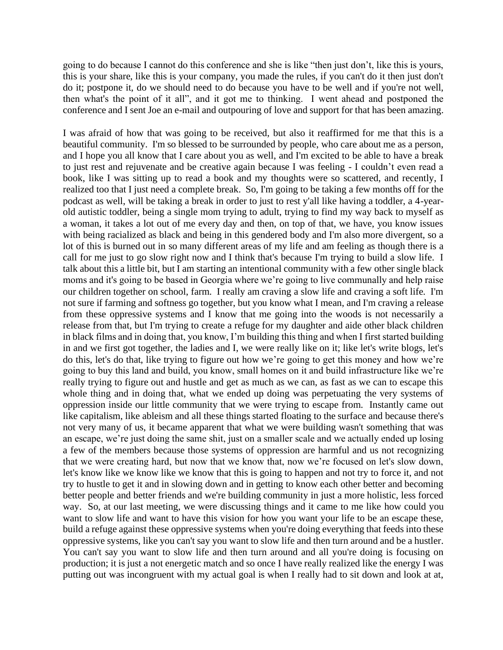going to do because I cannot do this conference and she is like "then just don't, like this is yours, this is your share, like this is your company, you made the rules, if you can't do it then just don't do it; postpone it, do we should need to do because you have to be well and if you're not well, then what's the point of it all", and it got me to thinking. I went ahead and postponed the conference and I sent Joe an e-mail and outpouring of love and support for that has been amazing.

I was afraid of how that was going to be received, but also it reaffirmed for me that this is a beautiful community. I'm so blessed to be surrounded by people, who care about me as a person, and I hope you all know that I care about you as well, and I'm excited to be able to have a break to just rest and rejuvenate and be creative again because I was feeling - I couldn't even read a book, like I was sitting up to read a book and my thoughts were so scattered, and recently, I realized too that I just need a complete break. So, I'm going to be taking a few months off for the podcast as well, will be taking a break in order to just to rest y'all like having a toddler, a 4-yearold autistic toddler, being a single mom trying to adult, trying to find my way back to myself as a woman, it takes a lot out of me every day and then, on top of that, we have, you know issues with being racialized as black and being in this gendered body and I'm also more divergent, so a lot of this is burned out in so many different areas of my life and am feeling as though there is a call for me just to go slow right now and I think that's because I'm trying to build a slow life. I talk about this a little bit, but I am starting an intentional community with a few other single black moms and it's going to be based in Georgia where we're going to live communally and help raise our children together on school, farm. I really am craving a slow life and craving a soft life. I'm not sure if farming and softness go together, but you know what I mean, and I'm craving a release from these oppressive systems and I know that me going into the woods is not necessarily a release from that, but I'm trying to create a refuge for my daughter and aide other black children in black films and in doing that, you know, I'm building this thing and when I first started building in and we first got together, the ladies and I, we were really like on it; like let's write blogs, let's do this, let's do that, like trying to figure out how we're going to get this money and how we're going to buy this land and build, you know, small homes on it and build infrastructure like we're really trying to figure out and hustle and get as much as we can, as fast as we can to escape this whole thing and in doing that, what we ended up doing was perpetuating the very systems of oppression inside our little community that we were trying to escape from. Instantly came out like capitalism, like ableism and all these things started floating to the surface and because there's not very many of us, it became apparent that what we were building wasn't something that was an escape, we're just doing the same shit, just on a smaller scale and we actually ended up losing a few of the members because those systems of oppression are harmful and us not recognizing that we were creating hard, but now that we know that, now we're focused on let's slow down, let's know like we know like we know that this is going to happen and not try to force it, and not try to hustle to get it and in slowing down and in getting to know each other better and becoming better people and better friends and we're building community in just a more holistic, less forced way. So, at our last meeting, we were discussing things and it came to me like how could you want to slow life and want to have this vision for how you want your life to be an escape these, build a refuge against these oppressive systems when you're doing everything that feeds into these oppressive systems, like you can't say you want to slow life and then turn around and be a hustler. You can't say you want to slow life and then turn around and all you're doing is focusing on production; it is just a not energetic match and so once I have really realized like the energy I was putting out was incongruent with my actual goal is when I really had to sit down and look at at,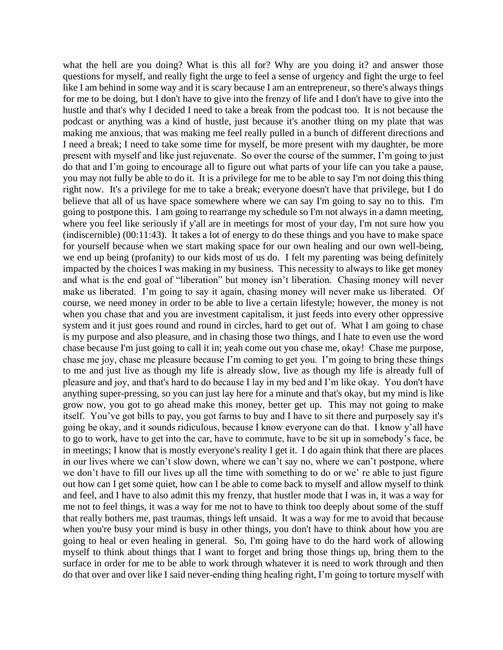what the hell are you doing? What is this all for? Why are you doing it? and answer those questions for myself, and really fight the urge to feel a sense of urgency and fight the urge to feel like I am behind in some way and it is scary because I am an entrepreneur, so there's always things for me to be doing, but I don't have to give into the frenzy of life and I don't have to give into the hustle and that's why I decided I need to take a break from the podcast too. It is not because the podcast or anything was a kind of hustle, just because it's another thing on my plate that was making me anxious, that was making me feel really pulled in a bunch of different directions and I need a break; I need to take some time for myself, be more present with my daughter, be more present with myself and like just rejuvenate. So over the course of the summer, I'm going to just do that and I'm going to encourage all to figure out what parts of your life can you take a pause, you may not fully be able to do it. It is a privilege for me to be able to say I'm not doing this thing right now. It's a privilege for me to take a break; everyone doesn't have that privilege, but I do believe that all of us have space somewhere where we can say I'm going to say no to this. I'm going to postpone this. I am going to rearrange my schedule so I'm not always in a damn meeting, where you feel like seriously if y'all are in meetings for most of your day, I'm not sure how you (indiscernible) (00:11:43). It takes a lot of energy to do these things and you have to make space for yourself because when we start making space for our own healing and our own well-being, we end up being (profanity) to our kids most of us do. I felt my parenting was being definitely impacted by the choices I was making in my business. This necessity to always to like get money and what is the end goal of "liberation" but money isn't liberation. Chasing money will never make us liberated. I'm going to say it again, chasing money will never make us liberated. Of course, we need money in order to be able to live a certain lifestyle; however, the money is not when you chase that and you are investment capitalism, it just feeds into every other oppressive system and it just goes round and round in circles, hard to get out of. What I am going to chase is my purpose and also pleasure, and in chasing those two things, and I hate to even use the word chase because I'm just going to call it in; yeah come out you chase me, okay! Chase me purpose, chase me joy, chase me pleasure because I'm coming to get you. I'm going to bring these things to me and just live as though my life is already slow, live as though my life is already full of pleasure and joy, and that's hard to do because I lay in my bed and I'm like okay. You don't have anything super-pressing, so you can just lay here for a minute and that's okay, but my mind is like grow now, you got to go ahead make this money, better get up. This may not going to make itself. You've got bills to pay, you got farms to buy and I have to sit there and purposely say it's going be okay, and it sounds ridiculous, because I know everyone can do that. I know y'all have to go to work, have to get into the car, have to commute, have to be sit up in somebody's face, be in meetings; I know that is mostly everyone's reality I get it. I do again think that there are places in our lives where we can't slow down, where we can't say no, where we can't postpone, where we don't have to fill our lives up all the time with something to do or we' re able to just figure out how can I get some quiet, how can I be able to come back to myself and allow myself to think and feel, and I have to also admit this my frenzy, that hustler mode that I was in, it was a way for me not to feel things, it was a way for me not to have to think too deeply about some of the stuff that really bothers me, past traumas, things left unsaid. It was a way for me to avoid that because when you're busy your mind is busy in other things, you don't have to think about how you are going to heal or even healing in general. So, I'm going have to do the hard work of allowing myself to think about things that I want to forget and bring those things up, bring them to the surface in order for me to be able to work through whatever it is need to work through and then do that over and over like I said never-ending thing healing right, I'm going to torture myself with